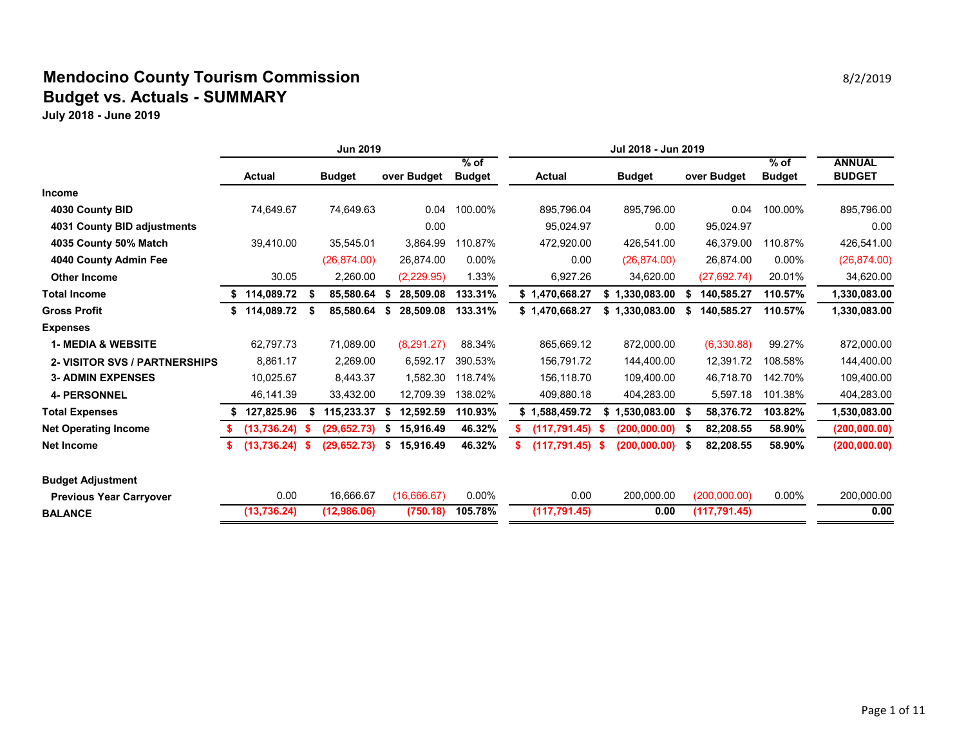### **Mendocino County Tourism Commission Biography** 8/2/2019 **8/2/2019 Budget vs. Actuals - SUMMARY**

|                                      | <b>Jun 2019</b>  |      |               |    |             |               |  |                    |      |               |      |               |               |               |
|--------------------------------------|------------------|------|---------------|----|-------------|---------------|--|--------------------|------|---------------|------|---------------|---------------|---------------|
|                                      |                  |      |               |    |             | $%$ of        |  |                    |      |               |      |               | $%$ of        | <b>ANNUAL</b> |
|                                      | <b>Actual</b>    |      | <b>Budget</b> |    | over Budget | <b>Budget</b> |  | <b>Actual</b>      |      | <b>Budget</b> |      | over Budget   | <b>Budget</b> | <b>BUDGET</b> |
| <b>Income</b>                        |                  |      |               |    |             |               |  |                    |      |               |      |               |               |               |
| 4030 County BID                      | 74,649.67        |      | 74,649.63     |    | 0.04        | 100.00%       |  | 895,796.04         |      | 895,796.00    |      | 0.04          | 100.00%       | 895,796.00    |
| 4031 County BID adjustments          |                  |      |               |    | 0.00        |               |  | 95,024.97          |      | 0.00          |      | 95,024.97     |               | 0.00          |
| 4035 County 50% Match                | 39,410.00        |      | 35,545.01     |    | 3,864.99    | 110.87%       |  | 472,920.00         |      | 426,541.00    |      | 46,379.00     | 110.87%       | 426,541.00    |
| 4040 County Admin Fee                |                  |      | (26, 874.00)  |    | 26,874.00   | $0.00\%$      |  | 0.00               |      | (26, 874.00)  |      | 26.874.00     | 0.00%         | (26, 874.00)  |
| <b>Other Income</b>                  | 30.05            |      | 2,260.00      |    | (2,229.95)  | 1.33%         |  | 6,927.26           |      | 34,620.00     |      | (27, 692.74)  | 20.01%        | 34,620.00     |
| <b>Total Income</b>                  | \$114,089.72     |      | 85,580.64     |    | 28,509.08   | 133.31%       |  | \$1,470,668.27     | \$   | 1,330,083.00  | S    | 140,585.27    | 110.57%       | 1,330,083.00  |
| <b>Gross Profit</b>                  | \$114,089.72     | - \$ | 85,580.64     |    | 28,509.08   | 133.31%       |  | \$1,470,668.27     | \$   | 1,330,083.00  | \$   | 140,585.27    | 110.57%       | 1,330,083.00  |
| <b>Expenses</b>                      |                  |      |               |    |             |               |  |                    |      |               |      |               |               |               |
| <b>1- MEDIA &amp; WEBSITE</b>        | 62,797.73        |      | 71,089.00     |    | (8, 291.27) | 88.34%        |  | 865,669.12         |      | 872,000.00    |      | (6,330.88)    | 99.27%        | 872,000.00    |
| <b>2- VISITOR SVS / PARTNERSHIPS</b> | 8,861.17         |      | 2,269.00      |    | 6,592.17    | 390.53%       |  | 156,791.72         |      | 144,400.00    |      | 12,391.72     | 108.58%       | 144,400.00    |
| <b>3- ADMIN EXPENSES</b>             | 10,025.67        |      | 8,443.37      |    | 1,582.30    | 118.74%       |  | 156,118.70         |      | 109,400.00    |      | 46.718.70     | 142.70%       | 109,400.00    |
| <b>4- PERSONNEL</b>                  | 46,141.39        |      | 33,432.00     |    | 12,709.39   | 138.02%       |  | 409,880.18         |      | 404,283.00    |      | 5,597.18      | 101.38%       | 404,283.00    |
| <b>Total Expenses</b>                | 127,825.96       |      | 115,233.37    |    | 12,592.59   | 110.93%       |  | \$1,588,459.72     | \$   | 1,530,083.00  | - \$ | 58,376.72     | 103.82%       | 1,530,083.00  |
| <b>Net Operating Income</b>          | $(13,736.24)$ \$ |      | (29, 652.73)  |    | 15,916.49   | 46.32%        |  | (117, 791.45)      | - \$ | (200, 000.00) | - S  | 82,208.55     | 58.90%        | (200, 000.00) |
| <b>Net Income</b>                    | $(13,736.24)$ \$ |      | (29,652.73)   | \$ | 15,916.49   | 46.32%        |  | $(117, 791.45)$ \$ |      | (200, 000.00) | - \$ | 82,208.55     | 58.90%        | (200, 000.00) |
| <b>Budget Adjustment</b>             |                  |      |               |    |             |               |  |                    |      |               |      |               |               |               |
| <b>Previous Year Carryover</b>       | 0.00             |      | 16,666.67     |    | (16,666.67) | $0.00\%$      |  | 0.00               |      | 200,000.00    |      | (200,000.00)  | 0.00%         | 200,000.00    |
| <b>BALANCE</b>                       | (13, 736.24)     |      | (12,986.06)   |    | (750.18)    | 105.78%       |  | (117, 791.45)      |      | 0.00          |      | (117, 791.45) |               | 0.00          |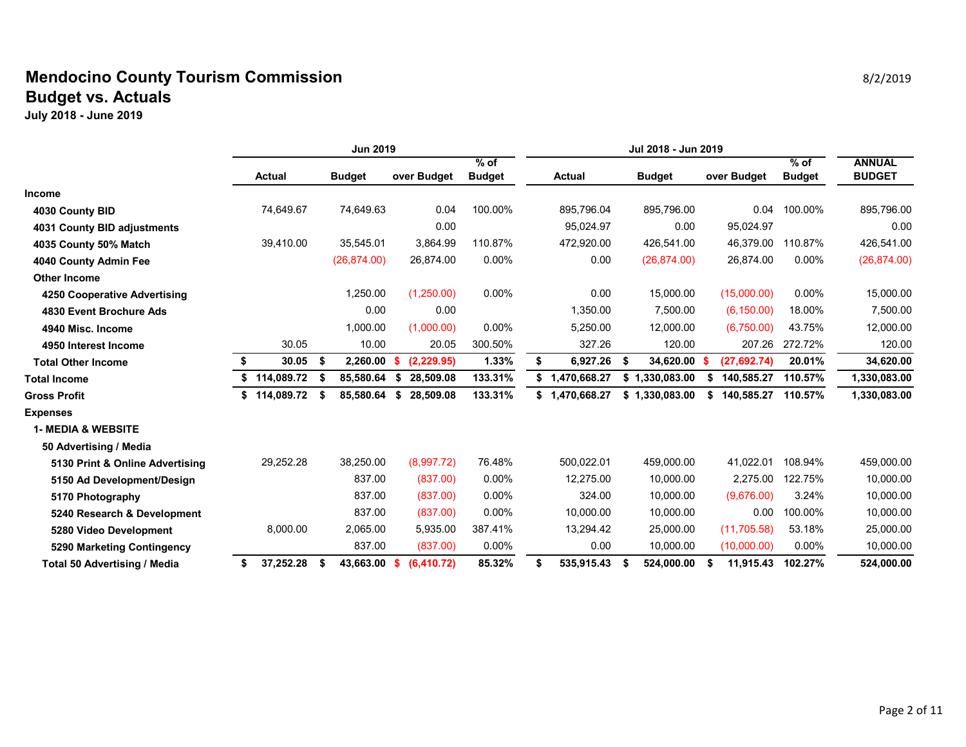### **Mendocino County Tourism Commission Biography** 8/2/2019 **Biography** 8/2/2019 **Budget vs. Actuals**

|                                     |    | <b>Jun 2019</b> |    |               |     |             |                         |                    |      |                |                  |                         |                                |
|-------------------------------------|----|-----------------|----|---------------|-----|-------------|-------------------------|--------------------|------|----------------|------------------|-------------------------|--------------------------------|
|                                     |    | <b>Actual</b>   |    | <b>Budget</b> |     | over Budget | $%$ of<br><b>Budget</b> | <b>Actual</b>      |      | <b>Budget</b>  | over Budget      | $%$ of<br><b>Budget</b> | <b>ANNUAL</b><br><b>BUDGET</b> |
| <b>Income</b>                       |    |                 |    |               |     |             |                         |                    |      |                |                  |                         |                                |
| 4030 County BID                     |    | 74,649.67       |    | 74,649.63     |     | 0.04        | 100.00%                 | 895,796.04         |      | 895,796.00     | 0.04             | 100.00%                 | 895,796.00                     |
| 4031 County BID adjustments         |    |                 |    |               |     | 0.00        |                         | 95,024.97          |      | 0.00           | 95,024.97        |                         | 0.00                           |
| 4035 County 50% Match               |    | 39,410.00       |    | 35,545.01     |     | 3,864.99    | 110.87%                 | 472,920.00         |      | 426,541.00     | 46,379.00        | 110.87%                 | 426,541.00                     |
| 4040 County Admin Fee               |    |                 |    | (26, 874.00)  |     | 26,874.00   | 0.00%                   | 0.00               |      | (26, 874.00)   | 26,874.00        | 0.00%                   | (26, 874.00)                   |
| <b>Other Income</b>                 |    |                 |    |               |     |             |                         |                    |      |                |                  |                         |                                |
| 4250 Cooperative Advertising        |    |                 |    | 1,250.00      |     | (1,250.00)  | 0.00%                   | 0.00               |      | 15,000.00      | (15,000.00)      | 0.00%                   | 15,000.00                      |
| 4830 Event Brochure Ads             |    |                 |    | 0.00          |     | 0.00        |                         | 1,350.00           |      | 7.500.00       | (6, 150.00)      | 18.00%                  | 7,500.00                       |
| 4940 Misc. Income                   |    |                 |    | 1,000.00      |     | (1,000.00)  | $0.00\%$                | 5,250.00           |      | 12,000.00      | (6,750.00)       | 43.75%                  | 12,000.00                      |
| 4950 Interest Income                |    | 30.05           |    | 10.00         |     | 20.05       | 300.50%                 | 327.26             |      | 120.00         | 207.26           | 272.72%                 | 120.00                         |
| <b>Total Other Income</b>           |    | 30.05           | S  | 2,260.00      | S.  | (2, 229.95) | 1.33%                   | \$<br>6,927.26     | - \$ | 34,620.00      | (27, 692.74)     | 20.01%                  | 34,620.00                      |
| <b>Total Income</b>                 |    | 114,089.72      |    | 85,580.64     | \$  | 28,509.08   | 133.31%                 | \$<br>1,470,668.27 | \$   | 1,330,083.00   | \$<br>140,585.27 | 110.57%                 | 1,330,083.00                   |
| <b>Gross Profit</b>                 | \$ | 114,089.72      | \$ | 85,580.64     | \$  | 28,509.08   | 133.31%                 | \$<br>1,470,668.27 |      | \$1,330,083.00 | \$<br>140,585.27 | 110.57%                 | 1,330,083.00                   |
| <b>Expenses</b>                     |    |                 |    |               |     |             |                         |                    |      |                |                  |                         |                                |
| <b>1- MEDIA &amp; WEBSITE</b>       |    |                 |    |               |     |             |                         |                    |      |                |                  |                         |                                |
| 50 Advertising / Media              |    |                 |    |               |     |             |                         |                    |      |                |                  |                         |                                |
| 5130 Print & Online Advertising     |    | 29,252.28       |    | 38,250.00     |     | (8,997.72)  | 76.48%                  | 500,022.01         |      | 459,000.00     | 41.022.01        | 108.94%                 | 459,000.00                     |
| 5150 Ad Development/Design          |    |                 |    | 837.00        |     | (837.00)    | $0.00\%$                | 12,275.00          |      | 10,000.00      | 2,275.00         | 122.75%                 | 10,000.00                      |
| 5170 Photography                    |    |                 |    | 837.00        |     | (837.00)    | 0.00%                   | 324.00             |      | 10,000.00      | (9,676.00)       | 3.24%                   | 10,000.00                      |
| 5240 Research & Development         |    |                 |    | 837.00        |     | (837.00)    | 0.00%                   | 10,000.00          |      | 10,000.00      | 0.00             | 100.00%                 | 10,000.00                      |
| 5280 Video Development              |    | 8,000.00        |    | 2,065.00      |     | 5,935.00    | 387.41%                 | 13,294.42          |      | 25,000.00      | (11, 705.58)     | 53.18%                  | 25,000.00                      |
| 5290 Marketing Contingency          |    |                 |    | 837.00        |     | (837.00)    | 0.00%                   | 0.00               |      | 10,000.00      | (10,000.00)      | 0.00%                   | 10,000.00                      |
| <b>Total 50 Advertising / Media</b> | S  | 37,252.28       | S  | 43,663.00     | - S | (6, 410.72) | 85.32%                  | \$<br>535,915.43   | - \$ | 524,000.00     | \$<br>11,915.43  | 102.27%                 | 524,000.00                     |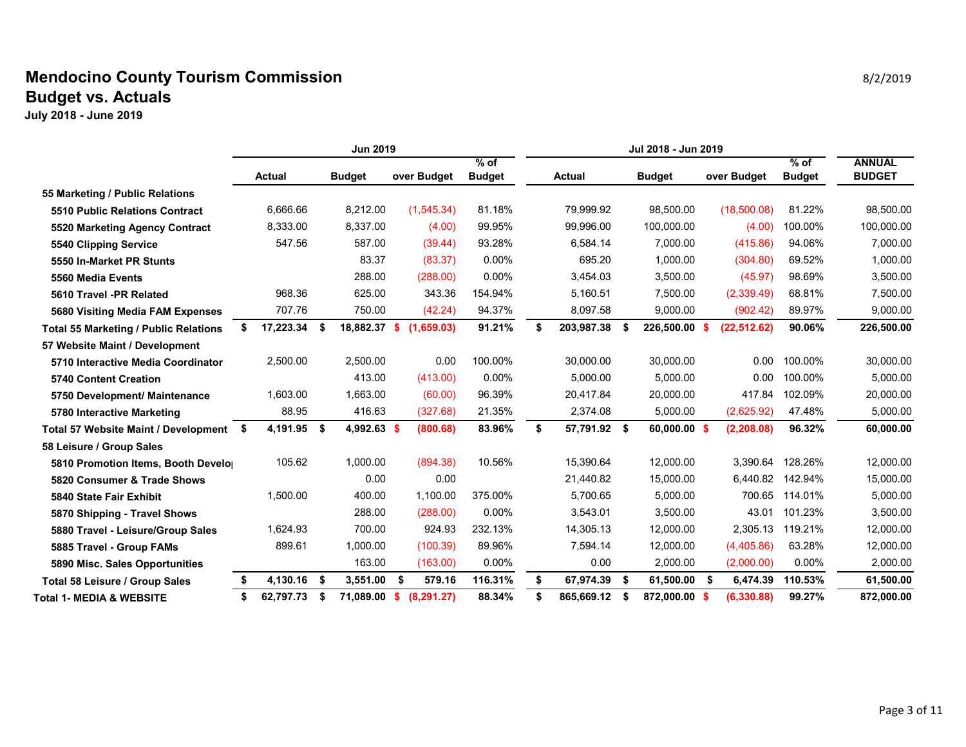### **Mendocino County Tourism Commission Biography** 8/2/2019 **Biography** 8/2/2019 **Budget vs. Actuals**

|                                              | <b>Jun 2019</b>    |      |               |    |             |                         |    |               |     |                |                     |                         |                                |
|----------------------------------------------|--------------------|------|---------------|----|-------------|-------------------------|----|---------------|-----|----------------|---------------------|-------------------------|--------------------------------|
|                                              | Actual             |      | <b>Budget</b> |    | over Budget | $%$ of<br><b>Budget</b> |    | <b>Actual</b> |     | <b>Budget</b>  | over Budget         | $%$ of<br><b>Budget</b> | <b>ANNUAL</b><br><b>BUDGET</b> |
| 55 Marketing / Public Relations              |                    |      |               |    |             |                         |    |               |     |                |                     |                         |                                |
| 5510 Public Relations Contract               | 6,666.66           |      | 8,212.00      |    | (1,545.34)  | 81.18%                  |    | 79,999.92     |     | 98,500.00      | (18,500.08)         | 81.22%                  | 98,500.00                      |
| 5520 Marketing Agency Contract               | 8,333.00           |      | 8,337.00      |    | (4.00)      | 99.95%                  |    | 99,996.00     |     | 100,000.00     | (4.00)              | 100.00%                 | 100,000.00                     |
| 5540 Clipping Service                        | 547.56             |      | 587.00        |    | (39.44)     | 93.28%                  |    | 6,584.14      |     | 7,000.00       | (415.86)            | 94.06%                  | 7,000.00                       |
| 5550 In-Market PR Stunts                     |                    |      | 83.37         |    | (83.37)     | 0.00%                   |    | 695.20        |     | 1,000.00       | (304.80)            | 69.52%                  | 1,000.00                       |
| 5560 Media Events                            |                    |      | 288.00        |    | (288.00)    | $0.00\%$                |    | 3,454.03      |     | 3,500.00       | (45.97)             | 98.69%                  | 3,500.00                       |
| 5610 Travel -PR Related                      | 968.36             |      | 625.00        |    | 343.36      | 154.94%                 |    | 5,160.51      |     | 7,500.00       | (2,339.49)          | 68.81%                  | 7,500.00                       |
| 5680 Visiting Media FAM Expenses             | 707.76             |      | 750.00        |    | (42.24)     | 94.37%                  |    | 8,097.58      |     | 9,000.00       | (902.42)            | 89.97%                  | 9,000.00                       |
| <b>Total 55 Marketing / Public Relations</b> | 17,223.34 \$<br>S. |      | 18,882.37     | S. | (1,659.03)  | 91.21%                  | \$ | 203,987.38    | - S | 226,500.00     | (22, 512.62)<br>-96 | 90.06%                  | 226,500.00                     |
| 57 Website Maint / Development               |                    |      |               |    |             |                         |    |               |     |                |                     |                         |                                |
| 5710 Interactive Media Coordinator           | 2,500.00           |      | 2,500.00      |    | 0.00        | 100.00%                 |    | 30.000.00     |     | 30,000.00      | 0.00                | 100.00%                 | 30,000.00                      |
| <b>5740 Content Creation</b>                 |                    |      | 413.00        |    | (413.00)    | $0.00\%$                |    | 5.000.00      |     | 5.000.00       | 0.00                | 100.00%                 | 5,000.00                       |
| 5750 Development/ Maintenance                | 1,603.00           |      | 1,663.00      |    | (60.00)     | 96.39%                  |    | 20,417.84     |     | 20,000.00      | 417.84              | 102.09%                 | 20,000.00                      |
| 5780 Interactive Marketing                   | 88.95              |      | 416.63        |    | (327.68)    | 21.35%                  |    | 2,374.08      |     | 5,000.00       | (2,625.92)          | 47.48%                  | 5,000.00                       |
| Total 57 Website Maint / Development \$      | 4,191.95 \$        |      | 4,992.63 \$   |    | (800.68)    | 83.96%                  | \$ | 57,791.92 \$  |     | $60,000.00$ \$ | (2, 208.08)         | 96.32%                  | 60,000.00                      |
| 58 Leisure / Group Sales                     |                    |      |               |    |             |                         |    |               |     |                |                     |                         |                                |
| 5810 Promotion Items, Booth Develo           | 105.62             |      | 1,000.00      |    | (894.38)    | 10.56%                  |    | 15,390.64     |     | 12,000.00      | 3.390.64            | 128.26%                 | 12,000.00                      |
| 5820 Consumer & Trade Shows                  |                    |      | 0.00          |    | 0.00        |                         |    | 21,440.82     |     | 15,000.00      | 6,440.82            | 142.94%                 | 15,000.00                      |
| 5840 State Fair Exhibit                      | 1,500.00           |      | 400.00        |    | 1,100.00    | 375.00%                 |    | 5,700.65      |     | 5,000.00       | 700.65              | 114.01%                 | 5,000.00                       |
| 5870 Shipping - Travel Shows                 |                    |      | 288.00        |    | (288.00)    | 0.00%                   |    | 3,543.01      |     | 3,500.00       | 43.01               | 101.23%                 | 3,500.00                       |
| 5880 Travel - Leisure/Group Sales            | 1,624.93           |      | 700.00        |    | 924.93      | 232.13%                 |    | 14,305.13     |     | 12,000.00      | 2.305.13            | 119.21%                 | 12,000.00                      |
| 5885 Travel - Group FAMs                     | 899.61             |      | 1,000.00      |    | (100.39)    | 89.96%                  |    | 7.594.14      |     | 12.000.00      | (4,405.86)          | 63.28%                  | 12,000.00                      |
| 5890 Misc. Sales Opportunities               |                    |      | 163.00        |    | (163.00)    | 0.00%                   |    | 0.00          |     | 2,000.00       | (2,000.00)          | $0.00\%$                | 2,000.00                       |
| <b>Total 58 Leisure / Group Sales</b>        | 4,130.16 \$<br>\$  |      | 3,551.00      | \$ | 579.16      | 116.31%                 | \$ | 67,974.39     | \$  | 61,500.00      | \$<br>6,474.39      | 110.53%                 | 61,500.00                      |
| <b>Total 1- MEDIA &amp; WEBSITE</b>          | \$<br>62,797.73    | - \$ | 71,089.00     | s. | (8, 291.27) | 88.34%                  | \$ | 865,669.12    | \$  | 872,000.00     | (6, 330.88)<br>- \$ | 99.27%                  | 872,000.00                     |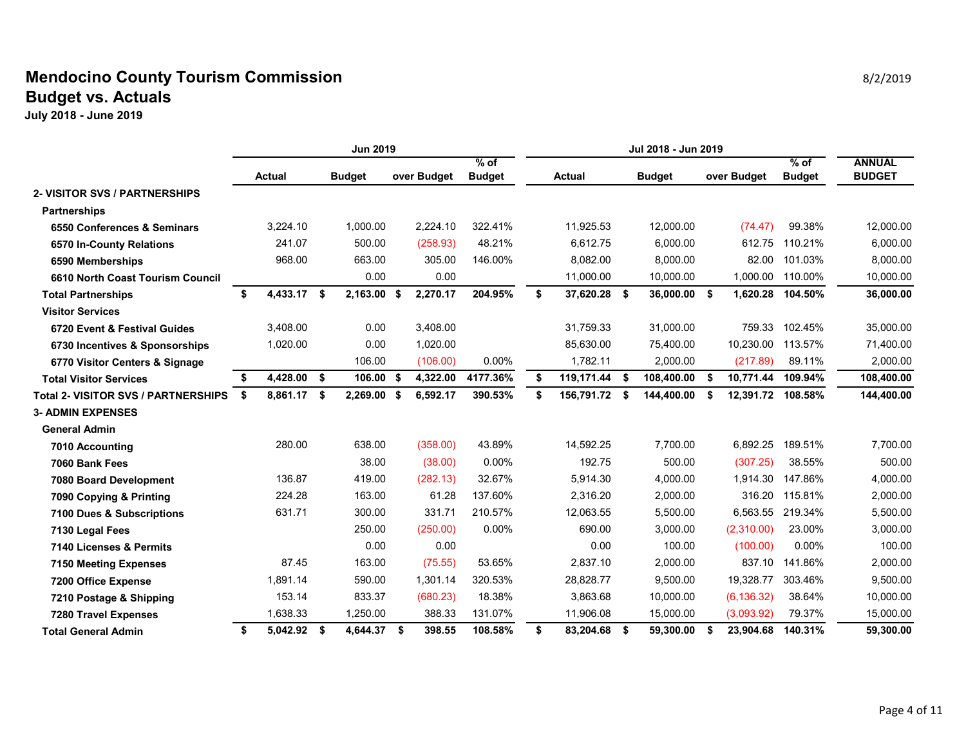### **Mendocino County Tourism Commission Biography** 8/2/2019 **Biography** 8/2/2019 **Budget vs. Actuals**

|                                            | <b>Jun 2019</b>   |  |               |      |             |                         | Jul 2018 - Jun 2019 |               |      |               |    |             |                         |                                |
|--------------------------------------------|-------------------|--|---------------|------|-------------|-------------------------|---------------------|---------------|------|---------------|----|-------------|-------------------------|--------------------------------|
|                                            | <b>Actual</b>     |  | <b>Budget</b> |      | over Budget | $%$ of<br><b>Budget</b> |                     | <b>Actual</b> |      | <b>Budget</b> |    | over Budget | $%$ of<br><b>Budget</b> | <b>ANNUAL</b><br><b>BUDGET</b> |
| <b>2- VISITOR SVS / PARTNERSHIPS</b>       |                   |  |               |      |             |                         |                     |               |      |               |    |             |                         |                                |
| <b>Partnerships</b>                        |                   |  |               |      |             |                         |                     |               |      |               |    |             |                         |                                |
| 6550 Conferences & Seminars                | 3.224.10          |  | 1.000.00      |      | 2.224.10    | 322.41%                 |                     | 11,925.53     |      | 12.000.00     |    | (74.47)     | 99.38%                  | 12,000.00                      |
| 6570 In-County Relations                   | 241.07            |  | 500.00        |      | (258.93)    | 48.21%                  |                     | 6,612.75      |      | 6,000.00      |    | 612.75      | 110.21%                 | 6,000.00                       |
| 6590 Memberships                           | 968.00            |  | 663.00        |      | 305.00      | 146.00%                 |                     | 8,082.00      |      | 8,000.00      |    | 82.00       | 101.03%                 | 8,000.00                       |
| 6610 North Coast Tourism Council           |                   |  | 0.00          |      | 0.00        |                         |                     | 11,000.00     |      | 10,000.00     |    | 1,000.00    | 110.00%                 | 10,000.00                      |
| <b>Total Partnerships</b>                  | \$<br>4,433.17 \$ |  | 2,163.00 \$   |      | 2,270.17    | 204.95%                 | \$                  | 37,620.28 \$  |      | 36,000.00 \$  |    | 1,620.28    | 104.50%                 | 36,000.00                      |
| <b>Visitor Services</b>                    |                   |  |               |      |             |                         |                     |               |      |               |    |             |                         |                                |
| 6720 Event & Festival Guides               | 3.408.00          |  | 0.00          |      | 3.408.00    |                         |                     | 31,759.33     |      | 31.000.00     |    | 759.33      | 102.45%                 | 35,000.00                      |
| 6730 Incentives & Sponsorships             | 1,020.00          |  | 0.00          |      | 1,020.00    |                         |                     | 85,630.00     |      | 75,400.00     |    | 10,230.00   | 113.57%                 | 71,400.00                      |
| 6770 Visitor Centers & Signage             |                   |  | 106.00        |      | (106.00)    | $0.00\%$                |                     | 1,782.11      |      | 2,000.00      |    | (217.89)    | 89.11%                  | 2,000.00                       |
| <b>Total Visitor Services</b>              | 4,428.00 \$<br>\$ |  | 106.00 \$     |      | 4,322.00    | 4177.36%                | \$                  | 119,171.44 \$ |      | 108,400.00    | \$ | 10,771.44   | 109.94%                 | 108,400.00                     |
| <b>Total 2- VISITOR SVS / PARTNERSHIPS</b> | \$<br>8,861.17 \$ |  | 2,269.00      | - \$ | 6,592.17    | 390.53%                 | \$                  | 156,791.72    | Ŝ.   | 144,400.00    | Ŝ. | 12,391.72   | 108.58%                 | 144,400.00                     |
| <b>3- ADMIN EXPENSES</b>                   |                   |  |               |      |             |                         |                     |               |      |               |    |             |                         |                                |
| <b>General Admin</b>                       |                   |  |               |      |             |                         |                     |               |      |               |    |             |                         |                                |
| 7010 Accounting                            | 280.00            |  | 638.00        |      | (358.00)    | 43.89%                  |                     | 14,592.25     |      | 7,700.00      |    | 6,892.25    | 189.51%                 | 7,700.00                       |
| 7060 Bank Fees                             |                   |  | 38.00         |      | (38.00)     | $0.00\%$                |                     | 192.75        |      | 500.00        |    | (307.25)    | 38.55%                  | 500.00                         |
| 7080 Board Development                     | 136.87            |  | 419.00        |      | (282.13)    | 32.67%                  |                     | 5,914.30      |      | 4,000.00      |    | 1,914.30    | 147.86%                 | 4,000.00                       |
| 7090 Copying & Printing                    | 224.28            |  | 163.00        |      | 61.28       | 137.60%                 |                     | 2,316.20      |      | 2,000.00      |    | 316.20      | 115.81%                 | 2,000.00                       |
| 7100 Dues & Subscriptions                  | 631.71            |  | 300.00        |      | 331.71      | 210.57%                 |                     | 12,063.55     |      | 5.500.00      |    | 6.563.55    | 219.34%                 | 5,500.00                       |
| 7130 Legal Fees                            |                   |  | 250.00        |      | (250.00)    | 0.00%                   |                     | 690.00        |      | 3,000.00      |    | (2,310.00)  | 23.00%                  | 3,000.00                       |
| 7140 Licenses & Permits                    |                   |  | 0.00          |      | 0.00        |                         |                     | 0.00          |      | 100.00        |    | (100.00)    | 0.00%                   | 100.00                         |
| <b>7150 Meeting Expenses</b>               | 87.45             |  | 163.00        |      | (75.55)     | 53.65%                  |                     | 2,837.10      |      | 2,000.00      |    | 837.10      | 141.86%                 | 2,000.00                       |
| 7200 Office Expense                        | 1,891.14          |  | 590.00        |      | 1,301.14    | 320.53%                 |                     | 28,828.77     |      | 9,500.00      |    | 19,328.77   | 303.46%                 | 9,500.00                       |
| 7210 Postage & Shipping                    | 153.14            |  | 833.37        |      | (680.23)    | 18.38%                  |                     | 3,863.68      |      | 10,000.00     |    | (6, 136.32) | 38.64%                  | 10,000.00                      |
| <b>7280 Travel Expenses</b>                | 1,638.33          |  | 1,250.00      |      | 388.33      | 131.07%                 |                     | 11,906.08     |      | 15.000.00     |    | (3,093.92)  | 79.37%                  | 15,000.00                      |
| <b>Total General Admin</b>                 | 5,042.92 \$<br>\$ |  | 4,644.37 \$   |      | 398.55      | 108.58%                 | \$                  | 83,204.68     | - \$ | 59,300.00     | \$ | 23,904.68   | 140.31%                 | 59,300.00                      |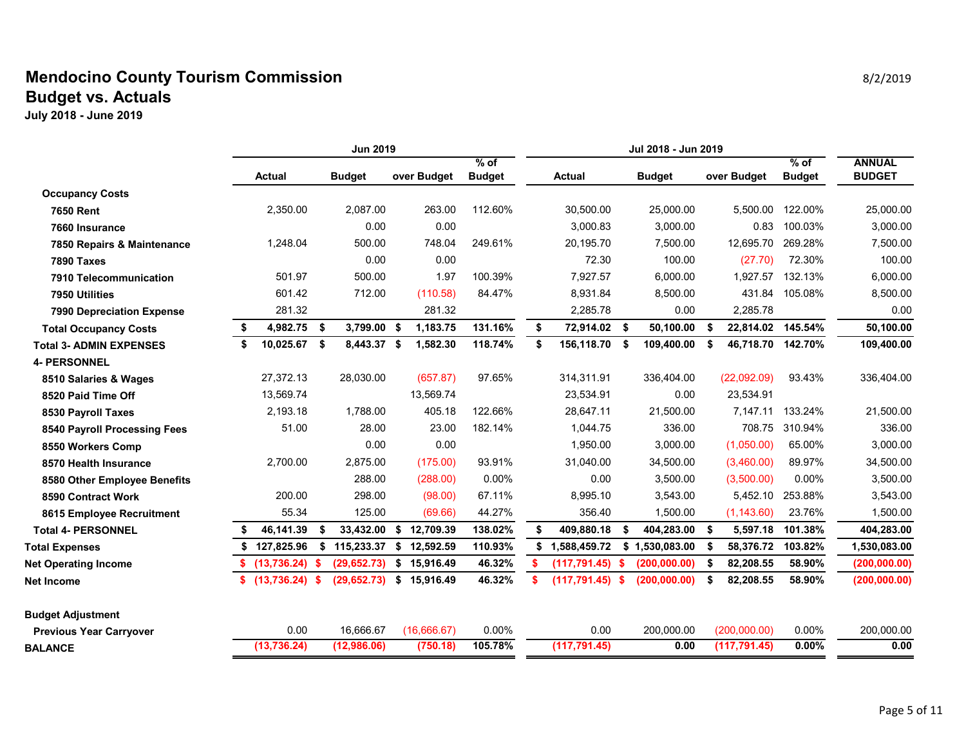### **Mendocino County Tourism Commission Biography** 8/2/2019 **8/2/2019 Budget vs. Actuals**

|                                  | <b>Jun 2019</b> |              |      |               |    |             |               |    |                    |     |               |      |                   |               |               |
|----------------------------------|-----------------|--------------|------|---------------|----|-------------|---------------|----|--------------------|-----|---------------|------|-------------------|---------------|---------------|
|                                  |                 |              |      |               |    |             | $%$ of        |    |                    |     |               |      |                   | $%$ of        | <b>ANNUAL</b> |
|                                  |                 | Actual       |      | <b>Budget</b> |    | over Budget | <b>Budget</b> |    | <b>Actual</b>      |     | <b>Budget</b> |      | over Budget       | <b>Budget</b> | <b>BUDGET</b> |
| <b>Occupancy Costs</b>           |                 |              |      |               |    |             |               |    |                    |     |               |      |                   |               |               |
| <b>7650 Rent</b>                 |                 | 2,350.00     |      | 2,087.00      |    | 263.00      | 112.60%       |    | 30,500.00          |     | 25,000.00     |      | 5,500.00          | 122.00%       | 25,000.00     |
| 7660 Insurance                   |                 |              |      | 0.00          |    | 0.00        |               |    | 3,000.83           |     | 3,000.00      |      | 0.83              | 100.03%       | 3,000.00      |
| 7850 Repairs & Maintenance       |                 | 1,248.04     |      | 500.00        |    | 748.04      | 249.61%       |    | 20,195.70          |     | 7,500.00      |      | 12,695.70         | 269.28%       | 7,500.00      |
| <b>7890 Taxes</b>                |                 |              |      | 0.00          |    | 0.00        |               |    | 72.30              |     | 100.00        |      | (27.70)           | 72.30%        | 100.00        |
| 7910 Telecommunication           |                 | 501.97       |      | 500.00        |    | 1.97        | 100.39%       |    | 7,927.57           |     | 6,000.00      |      | 1,927.57          | 132.13%       | 6,000.00      |
| 7950 Utilities                   |                 | 601.42       |      | 712.00        |    | (110.58)    | 84.47%        |    | 8,931.84           |     | 8,500.00      |      | 431.84            | 105.08%       | 8,500.00      |
| <b>7990 Depreciation Expense</b> |                 | 281.32       |      |               |    | 281.32      |               |    | 2,285.78           |     | 0.00          |      | 2,285.78          |               | 0.00          |
| <b>Total Occupancy Costs</b>     | \$              | 4,982.75 \$  |      | 3,799.00 \$   |    | 1,183.75    | 131.16%       | \$ | 72,914.02 \$       |     | 50,100.00     | \$   | 22,814.02         | 145.54%       | 50,100.00     |
| <b>Total 3- ADMIN EXPENSES</b>   |                 | 10,025.67 \$ |      | 8,443.37 \$   |    | 1,582.30    | 118.74%       | \$ | 156,118.70         | -\$ | 109,400.00    | - \$ | 46,718.70 142.70% |               | 109,400.00    |
| <b>4- PERSONNEL</b>              |                 |              |      |               |    |             |               |    |                    |     |               |      |                   |               |               |
| 8510 Salaries & Wages            |                 | 27,372.13    |      | 28,030.00     |    | (657.87)    | 97.65%        |    | 314,311.91         |     | 336,404.00    |      | (22,092.09)       | 93.43%        | 336,404.00    |
| 8520 Paid Time Off               |                 | 13,569.74    |      |               |    | 13,569.74   |               |    | 23,534.91          |     | 0.00          |      | 23,534.91         |               |               |
| 8530 Payroll Taxes               |                 | 2,193.18     |      | 1,788.00      |    | 405.18      | 122.66%       |    | 28,647.11          |     | 21,500.00     |      | 7,147.11          | 133.24%       | 21,500.00     |
| 8540 Payroll Processing Fees     |                 | 51.00        |      | 28.00         |    | 23.00       | 182.14%       |    | 1,044.75           |     | 336.00        |      | 708.75            | 310.94%       | 336.00        |
| 8550 Workers Comp                |                 |              |      | 0.00          |    | 0.00        |               |    | 1,950.00           |     | 3,000.00      |      | (1,050.00)        | 65.00%        | 3,000.00      |
| 8570 Health Insurance            |                 | 2,700.00     |      | 2,875.00      |    | (175.00)    | 93.91%        |    | 31,040.00          |     | 34,500.00     |      | (3,460.00)        | 89.97%        | 34,500.00     |
| 8580 Other Employee Benefits     |                 |              |      | 288.00        |    | (288.00)    | 0.00%         |    | 0.00               |     | 3,500.00      |      | (3,500.00)        | 0.00%         | 3,500.00      |
| 8590 Contract Work               |                 | 200.00       |      | 298.00        |    | (98.00)     | 67.11%        |    | 8,995.10           |     | 3,543.00      |      | 5,452.10          | 253.88%       | 3,543.00      |
| 8615 Employee Recruitment        |                 | 55.34        |      | 125.00        |    | (69.66)     | 44.27%        |    | 356.40             |     | 1,500.00      |      | (1, 143.60)       | 23.76%        | 1,500.00      |
| <b>Total 4- PERSONNEL</b>        | S               | 46,141.39    | \$   | 33,432.00     | \$ | 12,709.39   | 138.02%       | \$ | 409,880.18         | S.  | 404,283.00    | - \$ | 5,597.18          | 101.38%       | 404,283.00    |
| <b>Total Expenses</b>            | \$              | 127,825.96   | \$   | 115,233.37    |    | \$12,592.59 | 110.93%       | s. | 1,588,459.72       | \$  | 1,530,083.00  | - \$ | 58,376.72         | 103.82%       | 1,530,083.00  |
| <b>Net Operating Income</b>      | S.              | (13, 736.24) | -S   | (29, 652.73)  | \$ | 15,916.49   | 46.32%        |    | (117, 791.45)      | -S  | (200, 000.00) | -\$  | 82,208.55         | 58.90%        | (200, 000.00) |
| Net Income                       | s.              | (13, 736.24) | - \$ | (29, 652.73)  |    | \$15,916.49 | 46.32%        |    | $(117, 791.45)$ \$ |     | (200, 000.00) | Ŝ.   | 82,208.55         | 58.90%        | (200, 000.00) |
| Budget Adjustment                |                 |              |      |               |    |             |               |    |                    |     |               |      |                   |               |               |
| <b>Previous Year Carryover</b>   |                 | 0.00         |      | 16,666.67     |    | (16,666.67) | 0.00%         |    | 0.00               |     | 200,000.00    |      | (200,000.00)      | 0.00%         | 200,000.00    |
| <b>BALANCE</b>                   |                 | (13, 736.24) |      | (12,986.06)   |    | (750.18)    | 105.78%       |    | (117, 791.45)      |     | 0.00          |      | (117, 791.45)     | 0.00%         | 0.00          |
|                                  |                 |              |      |               |    |             |               |    |                    |     |               |      |                   |               |               |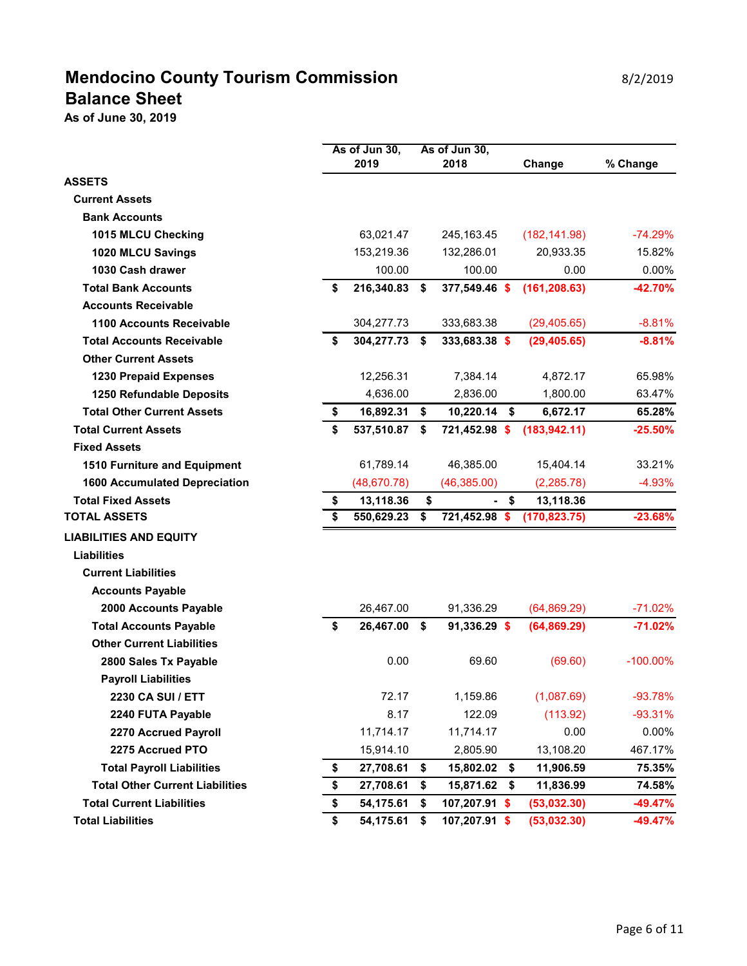# **Mendocino County Tourism Commission Mendocino County Tourism Commission Balance Sheet**

**As of June 30, 2019**

|                                        | As of Jun 30,    | As of Jun 30,       |                 |             |
|----------------------------------------|------------------|---------------------|-----------------|-------------|
|                                        | 2019             | 2018                | Change          | % Change    |
| <b>ASSETS</b>                          |                  |                     |                 |             |
| <b>Current Assets</b>                  |                  |                     |                 |             |
| <b>Bank Accounts</b>                   |                  |                     |                 |             |
| 1015 MLCU Checking                     | 63,021.47        | 245,163.45          | (182, 141.98)   | $-74.29%$   |
| 1020 MLCU Savings                      | 153,219.36       | 132,286.01          | 20,933.35       | 15.82%      |
| 1030 Cash drawer                       | 100.00           | 100.00              | 0.00            | $0.00\%$    |
| <b>Total Bank Accounts</b>             | \$<br>216,340.83 | \$<br>377,549.46 \$ | (161, 208.63)   | $-42.70%$   |
| <b>Accounts Receivable</b>             |                  |                     |                 |             |
| <b>1100 Accounts Receivable</b>        | 304,277.73       | 333,683.38          | (29, 405.65)    | $-8.81%$    |
| <b>Total Accounts Receivable</b>       | \$<br>304,277.73 | \$<br>333,683.38 \$ | (29, 405.65)    | $-8.81%$    |
| <b>Other Current Assets</b>            |                  |                     |                 |             |
| <b>1230 Prepaid Expenses</b>           | 12,256.31        | 7,384.14            | 4,872.17        | 65.98%      |
| 1250 Refundable Deposits               | 4,636.00         | 2,836.00            | 1,800.00        | 63.47%      |
| <b>Total Other Current Assets</b>      | \$<br>16,892.31  | \$<br>10,220.14     | \$<br>6,672.17  | 65.28%      |
| <b>Total Current Assets</b>            | \$<br>537,510.87 | \$<br>721,452.98 \$ | (183, 942.11)   | $-25.50%$   |
| <b>Fixed Assets</b>                    |                  |                     |                 |             |
| 1510 Furniture and Equipment           | 61,789.14        | 46,385.00           | 15,404.14       | 33.21%      |
| <b>1600 Accumulated Depreciation</b>   | (48, 670.78)     | (46, 385.00)        | (2, 285.78)     | $-4.93%$    |
| <b>Total Fixed Assets</b>              | \$<br>13,118.36  | \$                  | \$<br>13,118.36 |             |
| <b>TOTAL ASSETS</b>                    | \$<br>550,629.23 | \$<br>721,452.98 \$ | (170, 823.75)   | $-23.68%$   |
| <b>LIABILITIES AND EQUITY</b>          |                  |                     |                 |             |
| <b>Liabilities</b>                     |                  |                     |                 |             |
| <b>Current Liabilities</b>             |                  |                     |                 |             |
| <b>Accounts Payable</b>                |                  |                     |                 |             |
| 2000 Accounts Payable                  | 26,467.00        | 91,336.29           | (64, 869.29)    | $-71.02%$   |
| <b>Total Accounts Payable</b>          | \$<br>26,467.00  | \$<br>91,336.29 \$  | (64, 869.29)    | $-71.02%$   |
| <b>Other Current Liabilities</b>       |                  |                     |                 |             |
| 2800 Sales Tx Payable                  | 0.00             | 69.60               | (69.60)         | $-100.00\%$ |
| <b>Payroll Liabilities</b>             |                  |                     |                 |             |
| 2230 CA SUI / ETT                      | 72.17            | 1,159.86            | (1,087.69)      | $-93.78%$   |
| 2240 FUTA Payable                      | 8.17             | 122.09              | (113.92)        | $-93.31%$   |
| 2270 Accrued Payroll                   | 11,714.17        | 11,714.17           | 0.00            | 0.00%       |
| 2275 Accrued PTO                       | 15,914.10        | 2,805.90            | 13,108.20       | 467.17%     |
| <b>Total Payroll Liabilities</b>       | \$<br>27,708.61  | \$<br>15,802.02     | \$<br>11,906.59 | 75.35%      |
| <b>Total Other Current Liabilities</b> | \$<br>27,708.61  | \$<br>15,871.62     | 11,836.99<br>\$ | 74.58%      |
| <b>Total Current Liabilities</b>       | \$<br>54,175.61  | \$<br>107,207.91 \$ | (53,032.30)     | $-49.47%$   |
| <b>Total Liabilities</b>               | \$<br>54,175.61  | \$<br>107,207.91 \$ | (53,032.30)     | $-49.47%$   |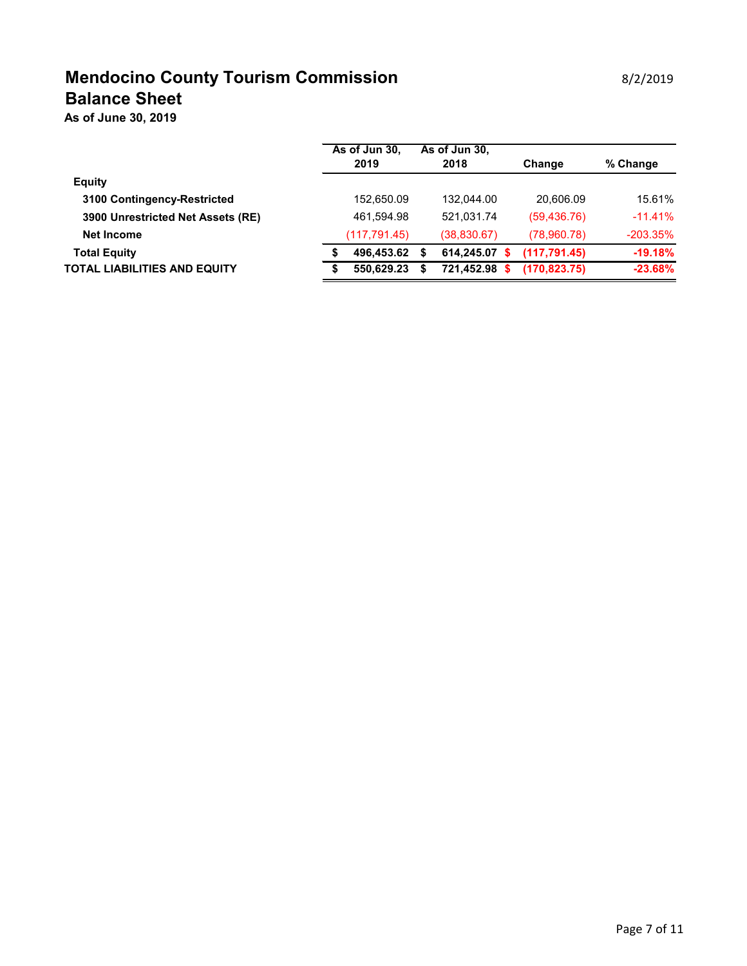# **Mendocino County Tourism Commission Mendocino County Tourism Commission Balance Sheet**

**As of June 30, 2019**

|                                   | As of Jun 30,<br>2019 |    | As of Jun 30,<br>2018 | Change       | % Change    |
|-----------------------------------|-----------------------|----|-----------------------|--------------|-------------|
| <b>Equity</b>                     |                       |    |                       |              |             |
| 3100 Contingency-Restricted       | 152,650.09            |    | 132.044.00            | 20.606.09    | 15.61%      |
| 3900 Unrestricted Net Assets (RE) | 461.594.98            |    | 521.031.74            | (59, 436.76) | $-11.41\%$  |
| Net Income                        | (117, 791.45)         |    | (38, 830.67)          | (78,960.78)  | $-203.35\%$ |
| <b>Total Equity</b>               | 496.453.62            | S. | 614.245.07<br>s       | (117.791.45) | $-19.18%$   |
| TOTAL LIABILITIES AND EQUITY      | 550.629.23            |    | 721.452.98            | (170.823.75) | $-23.68%$   |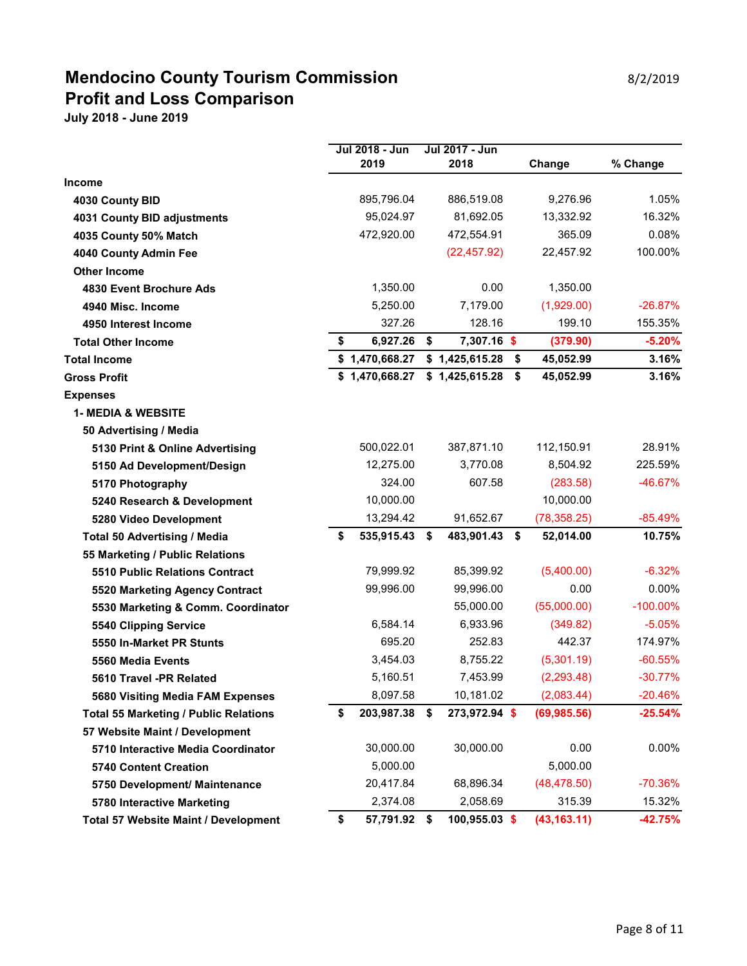## **Mendocino County Tourism Commission** 8/2/2019 **Profit and Loss Comparison**

|                                              | Jul 2018 - Jun   | Jul 2017 - Jun      |                 |             |
|----------------------------------------------|------------------|---------------------|-----------------|-------------|
|                                              | 2019             | 2018                | Change          | % Change    |
| <b>Income</b>                                |                  |                     |                 |             |
| 4030 County BID                              | 895,796.04       | 886,519.08          | 9,276.96        | 1.05%       |
| <b>4031 County BID adjustments</b>           | 95,024.97        | 81,692.05           | 13,332.92       | 16.32%      |
| 4035 County 50% Match                        | 472,920.00       | 472,554.91          | 365.09          | 0.08%       |
| 4040 County Admin Fee                        |                  | (22, 457.92)        | 22,457.92       | 100.00%     |
| <b>Other Income</b>                          |                  |                     |                 |             |
| 4830 Event Brochure Ads                      | 1,350.00         | 0.00                | 1,350.00        |             |
| 4940 Misc. Income                            | 5,250.00         | 7,179.00            | (1,929.00)      | $-26.87%$   |
| 4950 Interest Income                         | 327.26           | 128.16              | 199.10          | 155.35%     |
| <b>Total Other Income</b>                    | \$<br>6,927.26   | \$<br>7,307.16 \$   | (379.90)        | $-5.20%$    |
| <b>Total Income</b>                          | \$1,470,668.27   | \$1,425,615.28      | \$<br>45,052.99 | 3.16%       |
| <b>Gross Profit</b>                          | \$1,470,668.27   | \$1,425,615.28      | \$<br>45,052.99 | 3.16%       |
| <b>Expenses</b>                              |                  |                     |                 |             |
| <b>1- MEDIA &amp; WEBSITE</b>                |                  |                     |                 |             |
| 50 Advertising / Media                       |                  |                     |                 |             |
| 5130 Print & Online Advertising              | 500,022.01       | 387,871.10          | 112,150.91      | 28.91%      |
| 5150 Ad Development/Design                   | 12,275.00        | 3,770.08            | 8,504.92        | 225.59%     |
| 5170 Photography                             | 324.00           | 607.58              | (283.58)        | $-46.67%$   |
| 5240 Research & Development                  | 10,000.00        |                     | 10,000.00       |             |
| 5280 Video Development                       | 13,294.42        | 91,652.67           | (78, 358.25)    | $-85.49%$   |
| <b>Total 50 Advertising / Media</b>          | \$<br>535,915.43 | \$<br>483,901.43 \$ | 52,014.00       | 10.75%      |
| 55 Marketing / Public Relations              |                  |                     |                 |             |
| <b>5510 Public Relations Contract</b>        | 79,999.92        | 85,399.92           | (5,400.00)      | $-6.32%$    |
| 5520 Marketing Agency Contract               | 99,996.00        | 99,996.00           | 0.00            | $0.00\%$    |
| 5530 Marketing & Comm. Coordinator           |                  | 55,000.00           | (55,000.00)     | $-100.00\%$ |
| 5540 Clipping Service                        | 6,584.14         | 6,933.96            | (349.82)        | $-5.05%$    |
| 5550 In-Market PR Stunts                     | 695.20           | 252.83              | 442.37          | 174.97%     |
| 5560 Media Events                            | 3,454.03         | 8,755.22            | (5,301.19)      | $-60.55%$   |
| 5610 Travel -PR Related                      | 5,160.51         | 7,453.99            | (2, 293.48)     | $-30.77%$   |
| 5680 Visiting Media FAM Expenses             | 8,097.58         | 10,181.02           | (2,083.44)      | $-20.46%$   |
| <b>Total 55 Marketing / Public Relations</b> | \$<br>203,987.38 | \$<br>273,972.94 \$ | (69, 985.56)    | $-25.54%$   |
| 57 Website Maint / Development               |                  |                     |                 |             |
| 5710 Interactive Media Coordinator           | 30,000.00        | 30,000.00           | 0.00            | 0.00%       |
| 5740 Content Creation                        | 5,000.00         |                     | 5,000.00        |             |
| 5750 Development/ Maintenance                | 20,417.84        | 68,896.34           | (48, 478.50)    | $-70.36%$   |
| 5780 Interactive Marketing                   | 2,374.08         | 2,058.69            | 315.39          | 15.32%      |
| Total 57 Website Maint / Development         | \$<br>57,791.92  | \$<br>100,955.03 \$ | (43, 163.11)    | $-42.75%$   |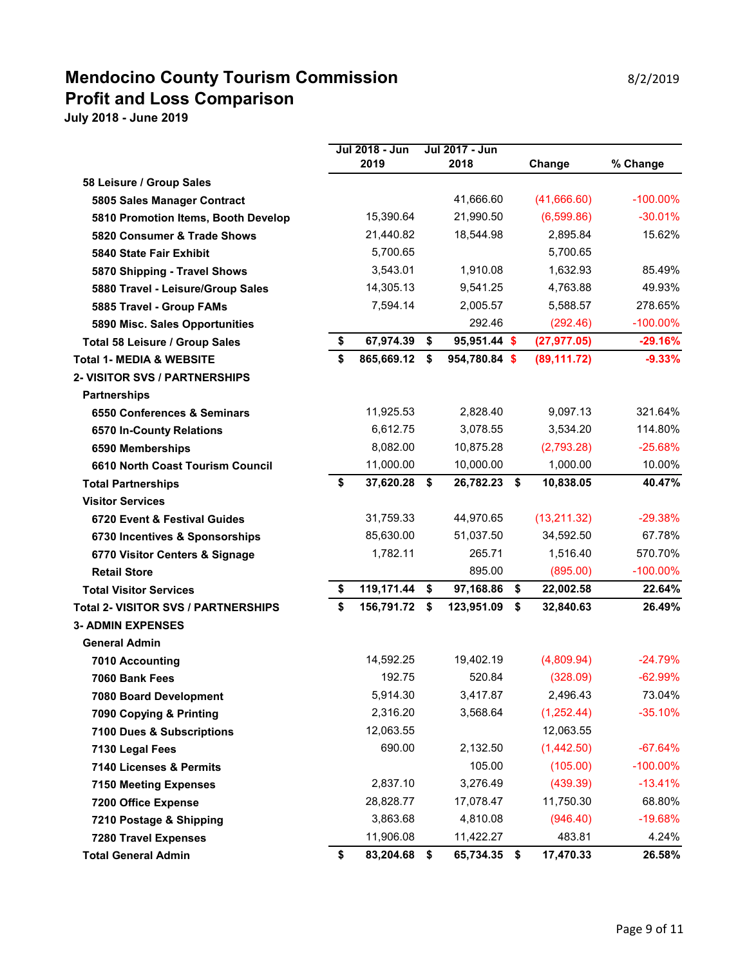### **Mendocino County Tourism Commission** 8/2/2019 **Profit and Loss Comparison**

|                                            | Jul 2018 - Jun     | Jul 2017 - Jun      |                 |             |
|--------------------------------------------|--------------------|---------------------|-----------------|-------------|
|                                            | 2019               | 2018                | Change          | % Change    |
| 58 Leisure / Group Sales                   |                    |                     |                 |             |
| 5805 Sales Manager Contract                |                    | 41,666.60           | (41,666.60)     | $-100.00\%$ |
| 5810 Promotion Items, Booth Develop        | 15,390.64          | 21,990.50           | (6,599.86)      | $-30.01%$   |
| 5820 Consumer & Trade Shows                | 21,440.82          | 18,544.98           | 2,895.84        | 15.62%      |
| 5840 State Fair Exhibit                    | 5,700.65           |                     | 5,700.65        |             |
| 5870 Shipping - Travel Shows               | 3,543.01           | 1.910.08            | 1,632.93        | 85.49%      |
| 5880 Travel - Leisure/Group Sales          | 14,305.13          | 9,541.25            | 4,763.88        | 49.93%      |
| 5885 Travel - Group FAMs                   | 7,594.14           | 2,005.57            | 5,588.57        | 278.65%     |
| 5890 Misc. Sales Opportunities             |                    | 292.46              | (292.46)        | $-100.00\%$ |
| Total 58 Leisure / Group Sales             | \$<br>67,974.39    | \$<br>95,951.44 \$  | (27, 977.05)    | $-29.16%$   |
| <b>Total 1- MEDIA &amp; WEBSITE</b>        | \$<br>865,669.12   | \$<br>954,780.84 \$ | (89, 111.72)    | $-9.33%$    |
| <b>2- VISITOR SVS / PARTNERSHIPS</b>       |                    |                     |                 |             |
| <b>Partnerships</b>                        |                    |                     |                 |             |
| 6550 Conferences & Seminars                | 11,925.53          | 2,828.40            | 9,097.13        | 321.64%     |
| 6570 In-County Relations                   | 6,612.75           | 3,078.55            | 3,534.20        | 114.80%     |
| 6590 Memberships                           | 8,082.00           | 10,875.28           | (2,793.28)      | $-25.68%$   |
| 6610 North Coast Tourism Council           | 11,000.00          | 10,000.00           | 1,000.00        | 10.00%      |
| <b>Total Partnerships</b>                  | \$<br>37,620.28 \$ | 26,782.23 \$        | 10,838.05       | 40.47%      |
| <b>Visitor Services</b>                    |                    |                     |                 |             |
| 6720 Event & Festival Guides               | 31,759.33          | 44,970.65           | (13, 211.32)    | $-29.38%$   |
| 6730 Incentives & Sponsorships             | 85,630.00          | 51,037.50           | 34,592.50       | 67.78%      |
| 6770 Visitor Centers & Signage             | 1,782.11           | 265.71              | 1,516.40        | 570.70%     |
| <b>Retail Store</b>                        |                    | 895.00              | (895.00)        | $-100.00\%$ |
| <b>Total Visitor Services</b>              | \$<br>119,171.44   | \$<br>97,168.86     | \$<br>22,002.58 | 22.64%      |
| <b>Total 2- VISITOR SVS / PARTNERSHIPS</b> | \$<br>156,791.72   | \$<br>123,951.09    | \$<br>32,840.63 | 26.49%      |
| <b>3- ADMIN EXPENSES</b>                   |                    |                     |                 |             |
| <b>General Admin</b>                       |                    |                     |                 |             |
| <b>7010 Accounting</b>                     | 14,592.25          | 19,402.19           | (4,809.94)      | $-24.79%$   |
| 7060 Bank Fees                             | 192.75             | 520.84              | (328.09)        | $-62.99%$   |
| 7080 Board Development                     | 5,914.30           | 3,417.87            | 2,496.43        | 73.04%      |
| 7090 Copying & Printing                    | 2,316.20           | 3,568.64            | (1, 252.44)     | $-35.10%$   |
| 7100 Dues & Subscriptions                  | 12,063.55          |                     | 12,063.55       |             |
| 7130 Legal Fees                            | 690.00             | 2,132.50            | (1,442.50)      | $-67.64%$   |
| 7140 Licenses & Permits                    |                    | 105.00              | (105.00)        | $-100.00\%$ |
| <b>7150 Meeting Expenses</b>               | 2,837.10           | 3,276.49            | (439.39)        | $-13.41%$   |
| 7200 Office Expense                        | 28,828.77          | 17,078.47           | 11,750.30       | 68.80%      |
| 7210 Postage & Shipping                    | 3,863.68           | 4,810.08            | (946.40)        | $-19.68%$   |
| <b>7280 Travel Expenses</b>                | 11,906.08          | 11,422.27           | 483.81          | 4.24%       |
| <b>Total General Admin</b>                 | \$<br>83,204.68    | \$<br>65,734.35 \$  | 17,470.33       | 26.58%      |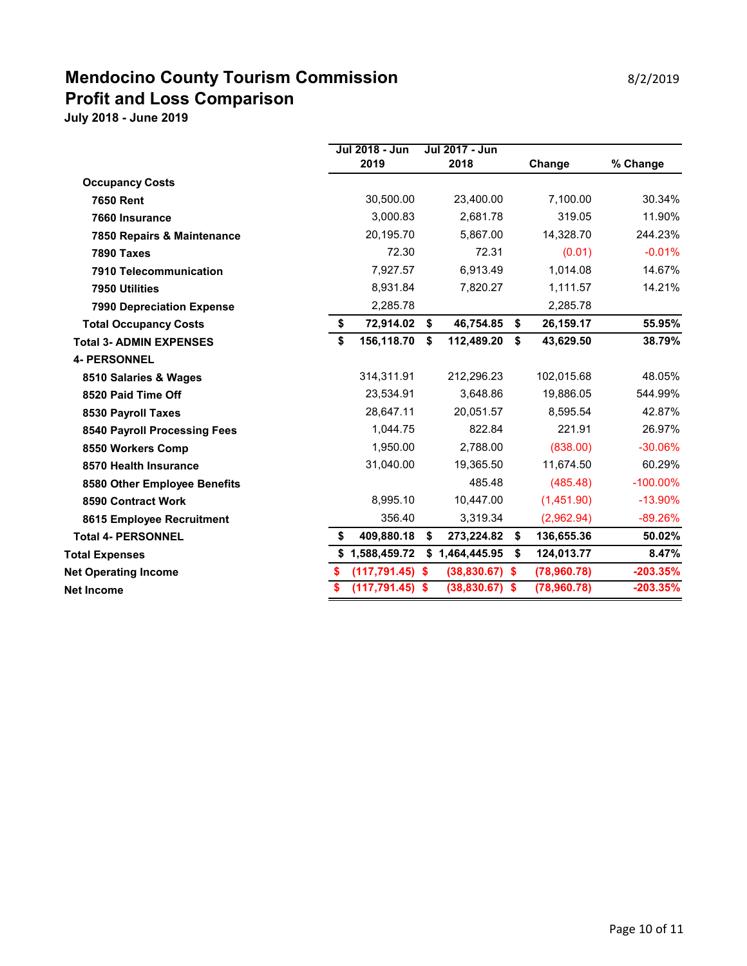### **Mendocino County Tourism Commission** 8/2/2019 **Profit and Loss Comparison**

|                                  |          | Jul 2018 - Jun<br>2019 | Jul 2017 - Jun<br>2018 | Change           | % Change    |
|----------------------------------|----------|------------------------|------------------------|------------------|-------------|
| <b>Occupancy Costs</b>           |          |                        |                        |                  |             |
| <b>7650 Rent</b>                 |          | 30,500.00              | 23,400.00              | 7,100.00         | 30.34%      |
| 7660 Insurance                   |          | 3,000.83               | 2,681.78               | 319.05           | 11.90%      |
| 7850 Repairs & Maintenance       |          | 20,195.70              | 5,867.00               | 14,328.70        | 244.23%     |
| 7890 Taxes                       |          | 72.30                  | 72.31                  | (0.01)           | $-0.01%$    |
| 7910 Telecommunication           |          | 7,927.57               | 6,913.49               | 1,014.08         | 14.67%      |
| 7950 Utilities                   |          | 8,931.84               | 7,820.27               | 1,111.57         | 14.21%      |
| <b>7990 Depreciation Expense</b> |          | 2,285.78               |                        | 2,285.78         |             |
| <b>Total Occupancy Costs</b>     | \$       | 72,914.02 \$           | 46,754.85              | \$<br>26,159.17  | 55.95%      |
| <b>Total 3- ADMIN EXPENSES</b>   | \$       | 156,118.70             | \$<br>112,489.20       | \$<br>43,629.50  | 38.79%      |
| <b>4- PERSONNEL</b>              |          |                        |                        |                  |             |
| 8510 Salaries & Wages            |          | 314,311.91             | 212,296.23             | 102,015.68       | 48.05%      |
| 8520 Paid Time Off               |          | 23,534.91              | 3.648.86               | 19,886.05        | 544.99%     |
| 8530 Payroll Taxes               |          | 28,647.11              | 20,051.57              | 8,595.54         | 42.87%      |
| 8540 Payroll Processing Fees     |          | 1,044.75               | 822.84                 | 221.91           | 26.97%      |
| 8550 Workers Comp                |          | 1,950.00               | 2,788.00               | (838.00)         | $-30.06%$   |
| 8570 Health Insurance            |          | 31,040.00              | 19,365.50              | 11,674.50        | 60.29%      |
| 8580 Other Employee Benefits     |          |                        | 485.48                 | (485.48)         | $-100.00\%$ |
| 8590 Contract Work               |          | 8,995.10               | 10,447.00              | (1,451.90)       | $-13.90%$   |
| 8615 Employee Recruitment        |          | 356.40                 | 3,319.34               | (2,962.94)       | $-89.26%$   |
| <b>Total 4- PERSONNEL</b>        | \$       | 409,880.18             | \$<br>273,224.82 \$    | 136,655.36       | 50.02%      |
| <b>Total Expenses</b>            |          | \$1,588,459.72         | \$1,464,445.95         | \$<br>124,013.77 | 8.47%       |
| <b>Net Operating Income</b>      | \$       | $(117, 791.45)$ \$     | $(38,830.67)$ \$       | (78,960.78)      | $-203.35%$  |
| <b>Net Income</b>                | <b>S</b> | $(117, 791.45)$ \$     | $(38,830.67)$ \$       | (78,960.78)      | $-203.35%$  |